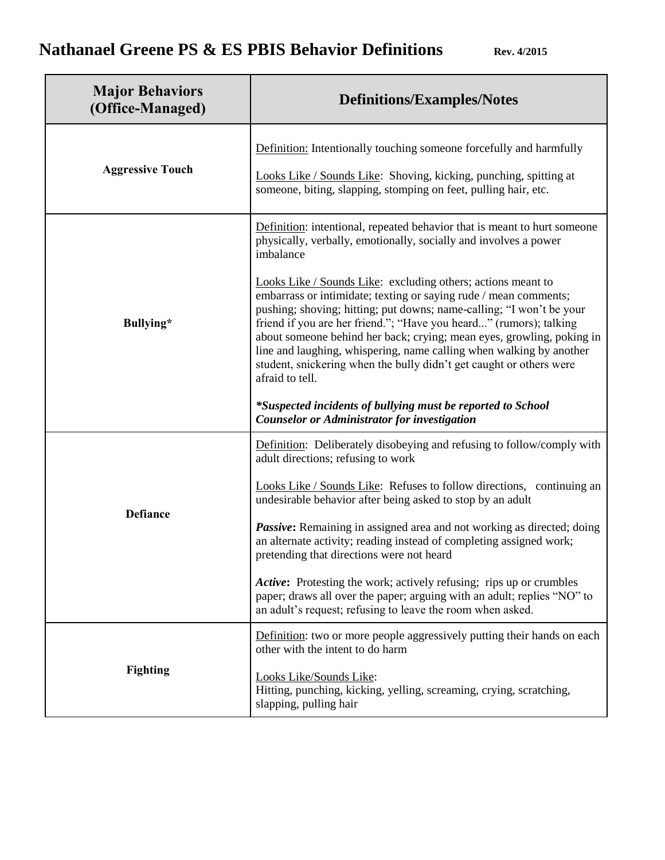| <b>Major Behaviors</b><br>(Office-Managed) | <b>Definitions/Examples/Notes</b>                                                                                                                                                                                                                                                                                                                                                                                                                                                                                                                                                                                                                                                                                                                                                                           |
|--------------------------------------------|-------------------------------------------------------------------------------------------------------------------------------------------------------------------------------------------------------------------------------------------------------------------------------------------------------------------------------------------------------------------------------------------------------------------------------------------------------------------------------------------------------------------------------------------------------------------------------------------------------------------------------------------------------------------------------------------------------------------------------------------------------------------------------------------------------------|
| <b>Aggressive Touch</b>                    | Definition: Intentionally touching someone forcefully and harmfully<br>Looks Like / Sounds Like: Shoving, kicking, punching, spitting at<br>someone, biting, slapping, stomping on feet, pulling hair, etc.                                                                                                                                                                                                                                                                                                                                                                                                                                                                                                                                                                                                 |
| Bullying*                                  | Definition: intentional, repeated behavior that is meant to hurt someone<br>physically, verbally, emotionally, socially and involves a power<br>imbalance<br>Looks Like / Sounds Like: excluding others; actions meant to<br>embarrass or intimidate; texting or saying rude / mean comments;<br>pushing; shoving; hitting; put downs; name-calling; "I won't be your<br>friend if you are her friend."; "Have you heard" (rumors); talking<br>about someone behind her back; crying; mean eyes, growling, poking in<br>line and laughing, whispering, name calling when walking by another<br>student, snickering when the bully didn't get caught or others were<br>afraid to tell.<br>*Suspected incidents of bullying must be reported to School<br><b>Counselor or Administrator for investigation</b> |
| <b>Defiance</b>                            | Definition: Deliberately disobeying and refusing to follow/comply with<br>adult directions; refusing to work<br>Looks Like / Sounds Like: Refuses to follow directions, continuing an<br>undesirable behavior after being asked to stop by an adult<br>Passive: Remaining in assigned area and not working as directed; doing<br>an alternate activity; reading instead of completing assigned work;<br>pretending that directions were not heard<br>Active: Protesting the work; actively refusing; rips up or crumbles<br>paper; draws all over the paper; arguing with an adult; replies "NO" to<br>an adult's request; refusing to leave the room when asked.                                                                                                                                           |
| <b>Fighting</b>                            | Definition: two or more people aggressively putting their hands on each<br>other with the intent to do harm<br>Looks Like/Sounds Like:<br>Hitting, punching, kicking, yelling, screaming, crying, scratching,<br>slapping, pulling hair                                                                                                                                                                                                                                                                                                                                                                                                                                                                                                                                                                     |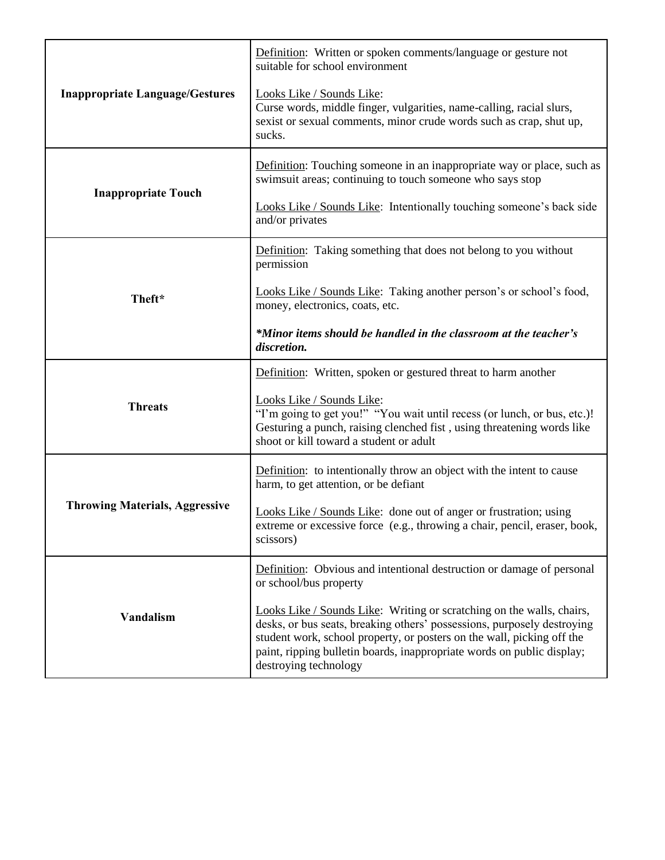| <b>Inappropriate Language/Gestures</b> | Definition: Written or spoken comments/language or gesture not<br>suitable for school environment                                                                                                                                                                                                                             |
|----------------------------------------|-------------------------------------------------------------------------------------------------------------------------------------------------------------------------------------------------------------------------------------------------------------------------------------------------------------------------------|
|                                        | Looks Like / Sounds Like:<br>Curse words, middle finger, vulgarities, name-calling, racial slurs,<br>sexist or sexual comments, minor crude words such as crap, shut up,<br>sucks.                                                                                                                                            |
| <b>Inappropriate Touch</b>             | Definition: Touching someone in an inappropriate way or place, such as<br>swimsuit areas; continuing to touch someone who says stop                                                                                                                                                                                           |
|                                        | Looks Like / Sounds Like: Intentionally touching someone's back side<br>and/or privates                                                                                                                                                                                                                                       |
| Theft*                                 | Definition: Taking something that does not belong to you without<br>permission                                                                                                                                                                                                                                                |
|                                        | Looks Like / Sounds Like: Taking another person's or school's food,<br>money, electronics, coats, etc.                                                                                                                                                                                                                        |
|                                        | *Minor items should be handled in the classroom at the teacher's<br>discretion.                                                                                                                                                                                                                                               |
| <b>Threats</b>                         | Definition: Written, spoken or gestured threat to harm another                                                                                                                                                                                                                                                                |
|                                        | Looks Like / Sounds Like:<br>"I'm going to get you!" "You wait until recess (or lunch, or bus, etc.)!<br>Gesturing a punch, raising clenched fist, using threatening words like<br>shoot or kill toward a student or adult                                                                                                    |
| <b>Throwing Materials, Aggressive</b>  | Definition: to intentionally throw an object with the intent to cause<br>harm, to get attention, or be defiant                                                                                                                                                                                                                |
|                                        | Looks Like / Sounds Like: done out of anger or frustration; using<br>extreme or excessive force (e.g., throwing a chair, pencil, eraser, book,<br>scissors)                                                                                                                                                                   |
| <b>Vandalism</b>                       | Definition: Obvious and intentional destruction or damage of personal<br>or school/bus property                                                                                                                                                                                                                               |
|                                        | Looks Like / Sounds Like: Writing or scratching on the walls, chairs,<br>desks, or bus seats, breaking others' possessions, purposely destroying<br>student work, school property, or posters on the wall, picking off the<br>paint, ripping bulletin boards, inappropriate words on public display;<br>destroying technology |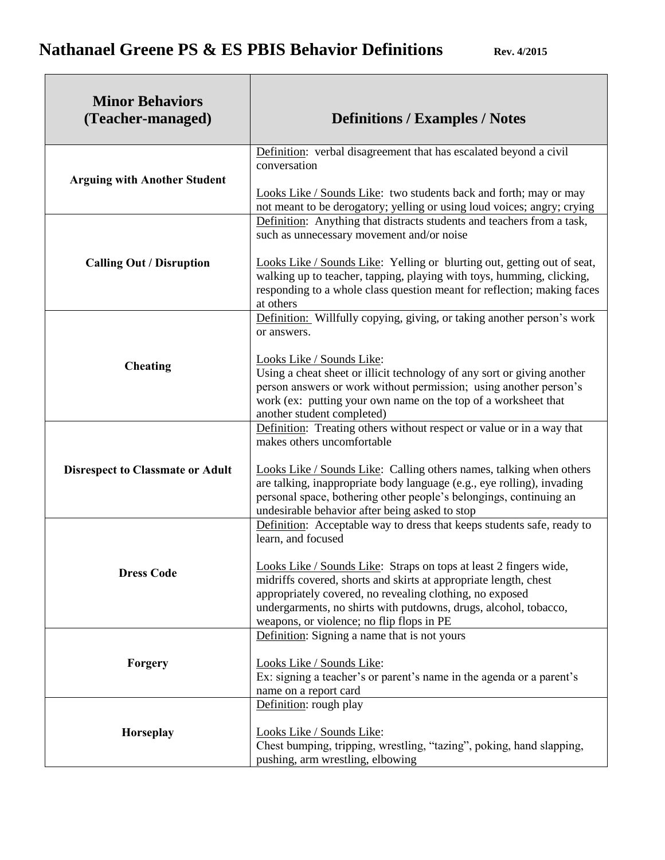| <b>Minor Behaviors</b><br>(Teacher-managed) | <b>Definitions / Examples / Notes</b>                                                                                                                                                                                                                                                                                                                                                                                                      |
|---------------------------------------------|--------------------------------------------------------------------------------------------------------------------------------------------------------------------------------------------------------------------------------------------------------------------------------------------------------------------------------------------------------------------------------------------------------------------------------------------|
| <b>Arguing with Another Student</b>         | Definition: verbal disagreement that has escalated beyond a civil<br>conversation<br>Looks Like / Sounds Like: two students back and forth; may or may                                                                                                                                                                                                                                                                                     |
| <b>Calling Out / Disruption</b>             | not meant to be derogatory; yelling or using loud voices; angry; crying<br>Definition: Anything that distracts students and teachers from a task,<br>such as unnecessary movement and/or noise<br>Looks Like / Sounds Like: Yelling or blurting out, getting out of seat,<br>walking up to teacher, tapping, playing with toys, humming, clicking,<br>responding to a whole class question meant for reflection; making faces<br>at others |
| <b>Cheating</b>                             | Definition: Willfully copying, giving, or taking another person's work<br>or answers.<br>Looks Like / Sounds Like:<br>Using a cheat sheet or illicit technology of any sort or giving another<br>person answers or work without permission; using another person's<br>work (ex: putting your own name on the top of a worksheet that<br>another student completed)                                                                         |
| <b>Disrespect to Classmate or Adult</b>     | Definition: Treating others without respect or value or in a way that<br>makes others uncomfortable<br>Looks Like / Sounds Like: Calling others names, talking when others<br>are talking, inappropriate body language (e.g., eye rolling), invading<br>personal space, bothering other people's belongings, continuing an<br>undesirable behavior after being asked to stop                                                               |
| <b>Dress Code</b>                           | Definition: Acceptable way to dress that keeps students safe, ready to<br>learn, and focused<br>Looks Like / Sounds Like: Straps on tops at least 2 fingers wide,<br>midriffs covered, shorts and skirts at appropriate length, chest<br>appropriately covered, no revealing clothing, no exposed<br>undergarments, no shirts with putdowns, drugs, alcohol, tobacco,<br>weapons, or violence; no flip flops in PE                         |
| Forgery                                     | Definition: Signing a name that is not yours<br>Looks Like / Sounds Like:<br>Ex: signing a teacher's or parent's name in the agenda or a parent's<br>name on a report card                                                                                                                                                                                                                                                                 |
| Horseplay                                   | Definition: rough play<br>Looks Like / Sounds Like:<br>Chest bumping, tripping, wrestling, "tazing", poking, hand slapping,<br>pushing, arm wrestling, elbowing                                                                                                                                                                                                                                                                            |